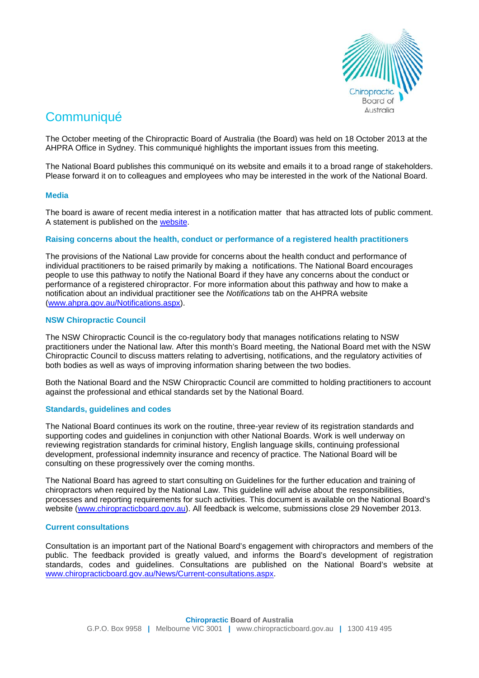

# **Communiqué**

The October meeting of the Chiropractic Board of Australia (the Board) was held on 18 October 2013 at the AHPRA Office in Sydney. This communiqué highlights the important issues from this meeting.

The National Board publishes this communiqué on its website and emails it to a broad range of stakeholders. Please forward it on to colleagues and employees who may be interested in the work of the National Board.

## **Media**

The board is aware of recent media interest in a notification matter that has attracted lots of public comment. A statement is published on the [website.](http://www.chiropracticboard.gov.au/News/2013-10-25-media-release-statement.aspx)

## **Raising concerns about the health, conduct or performance of a registered health practitioners**

The provisions of the National Law provide for concerns about the health conduct and performance of individual practitioners to be raised primarily by making a notifications. The National Board encourages people to use this pathway to notify the National Board if they have any concerns about the conduct or performance of a registered chiropractor. For more information about this pathway and how to make a notification about an individual practitioner see the *Notifications* tab on the AHPRA website [\(www.ahpra.gov.au/Notifications.aspx\)](http://www.ahpra.gov.au/Notifications.aspx).

## **NSW Chiropractic Council**

The NSW Chiropractic Council is the co-regulatory body that manages notifications relating to NSW practitioners under the National law. After this month's Board meeting, the National Board met with the NSW Chiropractic Council to discuss matters relating to advertising, notifications, and the regulatory activities of both bodies as well as ways of improving information sharing between the two bodies.

Both the National Board and the NSW Chiropractic Council are committed to holding practitioners to account against the professional and ethical standards set by the National Board.

### **Standards, guidelines and codes**

The National Board continues its work on the routine, three-year review of its registration standards and supporting codes and guidelines in conjunction with other National Boards. Work is well underway on reviewing registration standards for criminal history, English language skills, continuing professional development, professional indemnity insurance and recency of practice. The National Board will be consulting on these progressively over the coming months.

The National Board has agreed to start consulting on Guidelines for the further education and training of chiropractors when required by the National Law. This guideline will advise about the responsibilities, processes and reporting requirements for such activities. This document is available on the National Board's website [\(www.chiropracticboard.gov.au\)](http://www.chiropracticboard.gov.au/). All feedback is welcome, submissions close 29 November 2013.

### **Current consultations**

Consultation is an important part of the National Board's engagement with chiropractors and members of the public. The feedback provided is greatly valued, and informs the Board's development of registration standards, codes and guidelines. Consultations are published on the National Board's website at [www.chiropracticboard.gov.au/News/Current-consultations.aspx.](http://www.chiropracticboard.gov.au/News/Current-consultations.aspx)